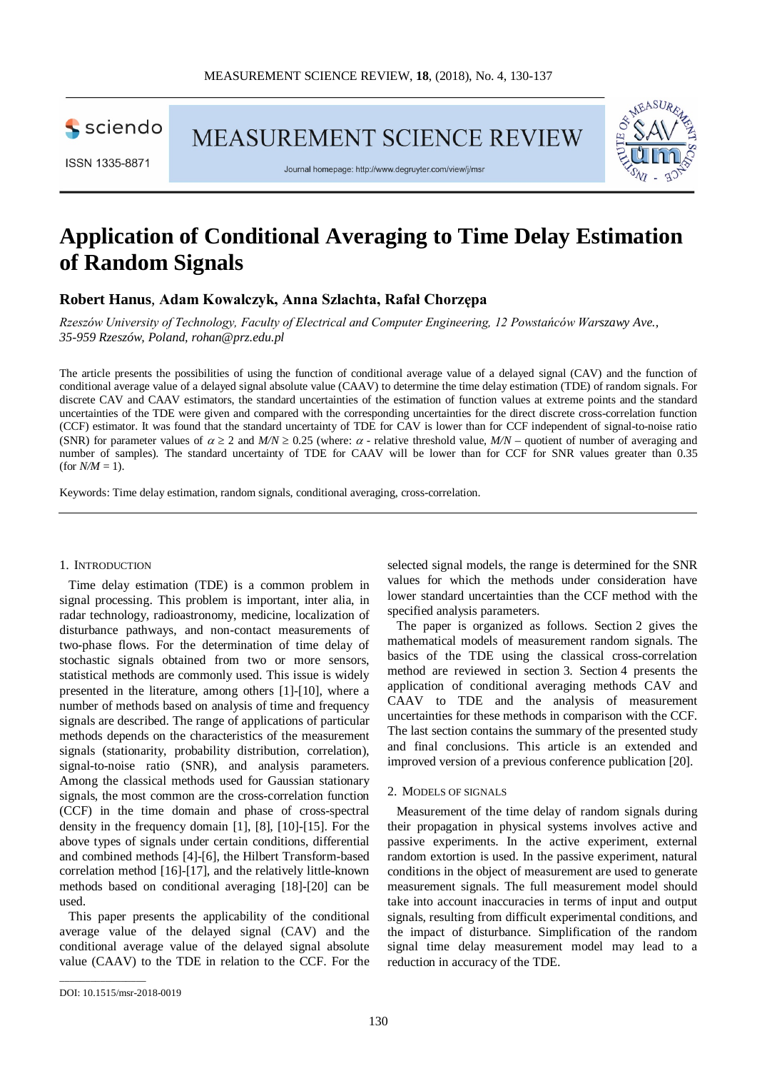sciendo

MEASUREMENT SCIENCE REVIEW

ISSN 1335-8871

Journal homepage: http://www.degruyter.com/view/j/msr

# **Application of Conditional Averaging to Time Delay Estimation of Random Signals**

# **Robert Hanus**, **Adam Kowalczyk, Anna Szlachta, Rafał Chorzępa**

*Rzeszów University of Technology, Faculty of Electrical and Computer Engineering, 12 Powstańców Warszawy Ave., 35-959 Rzeszów, Poland, rohan@prz.edu.pl*

The article presents the possibilities of using the function of conditional average value of a delayed signal (CAV) and the function of conditional average value of a delayed signal absolute value (CAAV) to determine the time delay estimation (TDE) of random signals. For discrete CAV and CAAV estimators, the standard uncertainties of the estimation of function values at extreme points and the standard uncertainties of the TDE were given and compared with the corresponding uncertainties for the direct discrete cross-correlation function (CCF) estimator. It was found that the standard uncertainty of TDE for CAV is lower than for CCF independent of signal-to-noise ratio (SNR) for parameter values of  $\alpha \ge 2$  and  $M/N \ge 0.25$  (where:  $\alpha$  - relative threshold value,  $M/N$  – quotient of number of averaging and number of samples). The standard uncertainty of TDE for CAAV will be lower than for CCF for SNR values greater than 0.35 (for  $N/M = 1$ ).

Keywords: Time delay estimation, random signals, conditional averaging, cross-correlation.

## 1. INTRODUCTION

Time delay estimation (TDE) is a common problem in signal processing. This problem is important, inter alia, in radar technology, radioastronomy, medicine, localization of disturbance pathways, and non-contact measurements of two-phase flows. For the determination of time delay of stochastic signals obtained from two or more sensors, statistical methods are commonly used. This issue is widely presented in the literature, among others [1]-[10], where a number of methods based on analysis of time and frequency signals are described. The range of applications of particular methods depends on the characteristics of the measurement signals (stationarity, probability distribution, correlation), signal-to-noise ratio (SNR), and analysis parameters. Among the classical methods used for Gaussian stationary signals, the most common are the cross-correlation function (CCF) in the time domain and phase of cross-spectral density in the frequency domain [1], [8], [10]-[15]. For the above types of signals under certain conditions, differential and combined methods [4]-[6], the Hilbert Transform-based correlation method [16]-[17], and the relatively little-known methods based on conditional averaging [18]-[20] can be used.

This paper presents the applicability of the conditional average value of the delayed signal (CAV) and the conditional average value of the delayed signal absolute value (CAAV) to the TDE in relation to the CCF. For the selected signal models, the range is determined for the SNR values for which the methods under consideration have lower standard uncertainties than the CCF method with the specified analysis parameters.

The paper is organized as follows. Section 2 gives the mathematical models of measurement random signals. The basics of the TDE using the classical cross-correlation method are reviewed in section 3. Section 4 presents the application of conditional averaging methods CAV and CAAV to TDE and the analysis of measurement uncertainties for these methods in comparison with the CCF. The last section contains the summary of the presented study and final conclusions. This article is an extended and improved version of a previous conference publication [20].

#### 2. MODELS OF SIGNALS

Measurement of the time delay of random signals during their propagation in physical systems involves active and passive experiments. In the active experiment, external random extortion is used. In the passive experiment, natural conditions in the object of measurement are used to generate measurement signals. The full measurement model should take into account inaccuracies in terms of input and output signals, resulting from difficult experimental conditions, and the impact of disturbance. Simplification of the random signal time delay measurement model may lead to a reduction in accuracy of the TDE.

\_\_\_\_\_\_\_\_\_\_\_\_\_\_\_\_\_

DOI: 10.1515/msr-2018-0019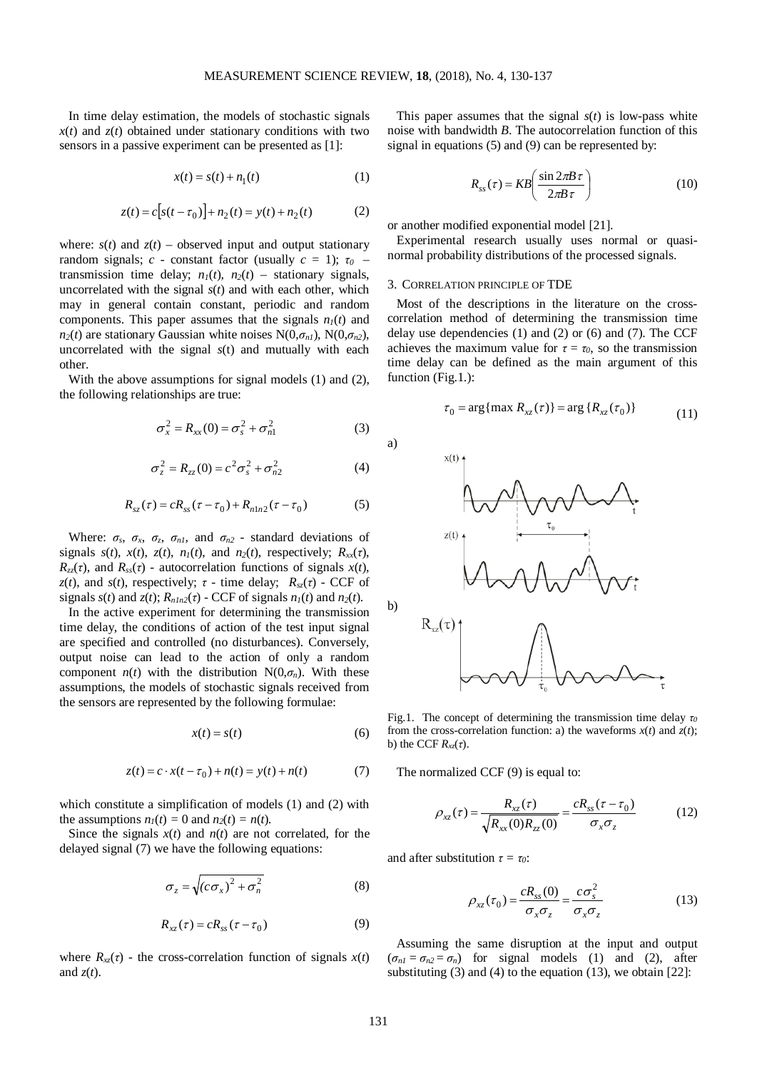In time delay estimation, the models of stochastic signals  $x(t)$  and  $z(t)$  obtained under stationary conditions with two sensors in a passive experiment can be presented as [1]:

$$
x(t) = s(t) + n_1(t)
$$
 (1)

$$
z(t) = c[s(t - \tau_0)] + n_2(t) = y(t) + n_2(t)
$$
 (2)

where:  $s(t)$  and  $z(t)$  – observed input and output stationary random signals; *c* - constant factor (usually  $c = 1$ );  $\tau_0$ transmission time delay;  $n_1(t)$ ,  $n_2(t)$  – stationary signals, uncorrelated with the signal *s*(*t*) and with each other, which may in general contain constant, periodic and random components. This paper assumes that the signals  $n_l(t)$  and *n*<sub>2</sub>(*t*) are stationary Gaussian white noises N(0, $\sigma_{nl}$ ), N(0, $\sigma_{n2}$ ), uncorrelated with the signal *s*(t) and mutually with each other.

With the above assumptions for signal models (1) and (2), the following relationships are true:

$$
\sigma_x^2 = R_{xx}(0) = \sigma_s^2 + \sigma_{n1}^2 \tag{3}
$$

$$
\sigma_z^2 = R_{zz}(0) = c^2 \sigma_s^2 + \sigma_{n2}^2 \tag{4}
$$

$$
R_{sz}(\tau) = cR_{ss}(\tau - \tau_0) + R_{n1n2}(\tau - \tau_0)
$$
 (5)

Where:  $\sigma_s$ ,  $\sigma_x$ ,  $\sigma_z$ ,  $\sigma_{n1}$ , and  $\sigma_{n2}$  - standard deviations of signals  $s(t)$ ,  $x(t)$ ,  $z(t)$ ,  $n_1(t)$ , and  $n_2(t)$ , respectively;  $R_{xx}(\tau)$ ,  $R_{zz}(\tau)$ , and  $R_{ss}(\tau)$  - autocorrelation functions of signals  $x(t)$ , *z*(*t*), and *s*(*t*), respectively;  $\tau$  - time delay;  $R_{sz}(\tau)$  - CCF of signals  $s(t)$  and  $z(t)$ ;  $R_{nln2}(\tau)$  - CCF of signals  $n_1(t)$  and  $n_2(t)$ .

In the active experiment for determining the transmission time delay, the conditions of action of the test input signal are specified and controlled (no disturbances). Conversely, output noise can lead to the action of only a random component  $n(t)$  with the distribution  $N(0,\sigma_n)$ . With these assumptions, the models of stochastic signals received from the sensors are represented by the following formulae:

$$
x(t) = s(t) \tag{6}
$$

$$
z(t) = c \cdot x(t - \tau_0) + n(t) = y(t) + n(t)
$$
 (7)

which constitute a simplification of models (1) and (2) with the assumptions  $n_1(t) = 0$  and  $n_2(t) = n(t)$ .

Since the signals  $x(t)$  and  $n(t)$  are not correlated, for the delayed signal (7) we have the following equations:

$$
\sigma_z = \sqrt{(c\sigma_x)^2 + \sigma_n^2} \tag{8}
$$

$$
R_{xz}(\tau) = cR_{ss}(\tau - \tau_0) \tag{9}
$$

where  $R_x(\tau)$  - the cross-correlation function of signals  $x(t)$ and *z*(*t*).

This paper assumes that the signal  $s(t)$  is low-pass white noise with bandwidth *B*. The autocorrelation function of this signal in equations (5) and (9) can be represented by:

$$
R_{ss}(\tau) = KB \left( \frac{\sin 2\pi B \tau}{2\pi B \tau} \right) \tag{10}
$$

or another modified exponential model [21].

Experimental research usually uses normal or quasinormal probability distributions of the processed signals.

#### 3. CORRELATION PRINCIPLE OF TDE

Most of the descriptions in the literature on the crosscorrelation method of determining the transmission time delay use dependencies (1) and (2) or (6) and (7). The CCF achieves the maximum value for  $\tau = \tau_0$ , so the transmission time delay can be defined as the main argument of this function (Fig.1.):

$$
\tau_0 = \arg\{\max R_{xz}(\tau)\} = \arg\{R_{xz}(\tau_0)\}\tag{11}
$$



Fig.1. The concept of determining the transmission time delay *τ<sup>0</sup>* from the cross-correlation function: a) the waveforms  $x(t)$  and  $z(t)$ ; b) the CCF *Rxz*(*τ*).

The normalized CCF (9) is equal to:

$$
\rho_{xz}(\tau) = \frac{R_{xz}(\tau)}{\sqrt{R_{xx}(0)R_{zz}(0)}} = \frac{cR_{ss}(\tau - \tau_0)}{\sigma_x \sigma_z}
$$
(12)

and after substitution  $\tau = \tau_0$ :

$$
\rho_{xz}(\tau_0) = \frac{cR_{ss}(0)}{\sigma_x \sigma_z} = \frac{c\sigma_s^2}{\sigma_x \sigma_z} \tag{13}
$$

Assuming the same disruption at the input and output  $(\sigma_{nl} = \sigma_{n2} = \sigma_n)$  for signal models (1) and (2), after substituting  $(3)$  and  $(4)$  to the equation  $(13)$ , we obtain  $[22]$ :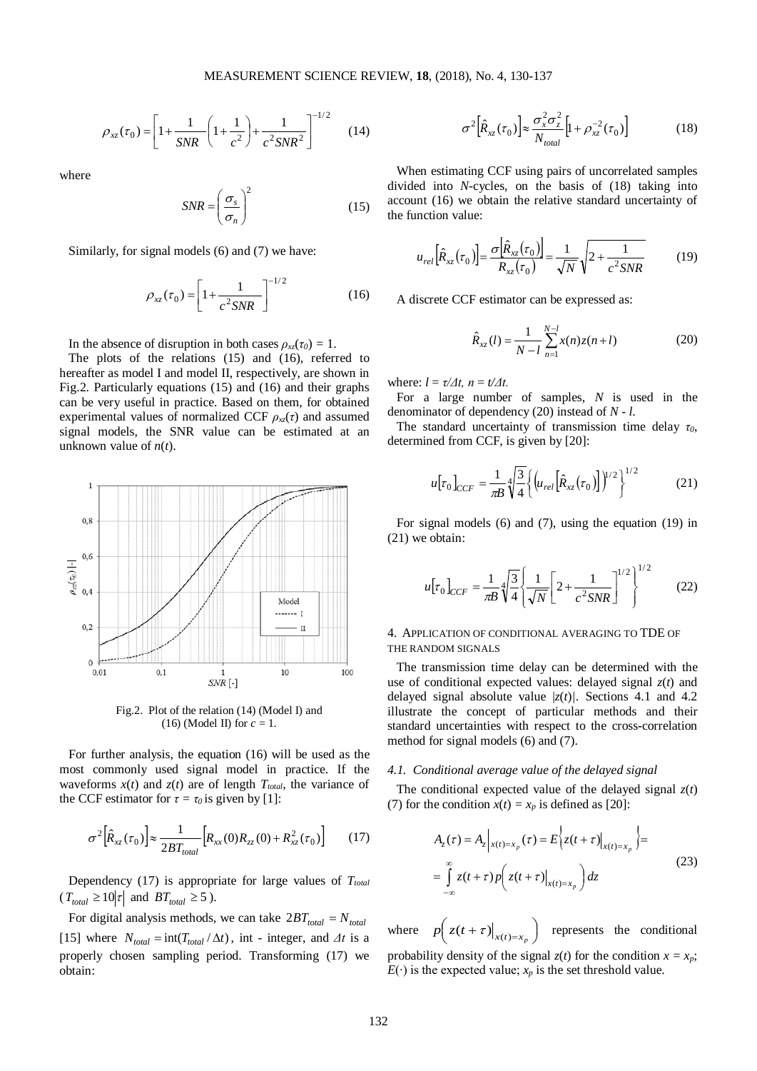$$
\rho_{xz}(\tau_0) = \left[1 + \frac{1}{SNR} \left(1 + \frac{1}{c^2}\right) + \frac{1}{c^2 SNR^2}\right]^{-1/2}
$$
 (14)

where

$$
SNR = \left(\frac{\sigma_s}{\sigma_n}\right)^2\tag{15}
$$

Similarly, for signal models (6) and (7) we have:

$$
\rho_{xz}(\tau_0) = \left[1 + \frac{1}{c^2 SNR}\right]^{-1/2} \tag{16}
$$

In the absence of disruption in both cases  $\rho_{xz}(\tau_0) = 1$ .

The plots of the relations (15) and (16), referred to hereafter as model I and model II, respectively, are shown in Fig.2. Particularly equations (15) and (16) and their graphs can be very useful in practice. Based on them, for obtained experimental values of normalized CCF  $\rho_{\rm x}(\tau)$  and assumed signal models, the SNR value can be estimated at an unknown value of  $n(t)$ .



Fig.2. Plot of the relation (14) (Model I) and (16) (Model II) for *c* = 1.

For further analysis, the equation (16) will be used as the most commonly used signal model in practice. If the waveforms  $x(t)$  and  $z(t)$  are of length  $T_{total}$ , the variance of the CCF estimator for  $\tau = \tau_0$  is given by [1]:

$$
\sigma^2 \left[ \hat{R}_{xz}(\tau_0) \right] \approx \frac{1}{2BT_{total}} \left[ R_{xx}(0) R_{zz}(0) + R_{xz}^2(\tau_0) \right] \tag{17}
$$

Dependency  $(17)$  is appropriate for large values of  $T_{total}$  $(T_{total} \ge 10|\tau|$  and  $BT_{total} \ge 5$ ).

For digital analysis methods, we can take  $2BT_{total} = N_{total}$ [15] where  $N_{total} = \text{int}(T_{total} / \Delta t)$ , int - integer, and  $\Delta t$  is a properly chosen sampling period. Transforming (17) we obtain:

$$
\sigma^2 \left[ \hat{R}_{xz}(\tau_0) \right] \approx \frac{\sigma_x^2 \sigma_z^2}{N_{total}} \left[ 1 + \rho_{xz}^{-2}(\tau_0) \right] \tag{18}
$$

When estimating CCF using pairs of uncorrelated samples divided into *N*-cycles, on the basis of (18) taking into account (16) we obtain the relative standard uncertainty of the function value:

$$
u_{rel}[\hat{R}_{xz}(\tau_0)] = \frac{\sigma[\hat{R}_{xz}(\tau_0)]}{R_{xz}(\tau_0)} = \frac{1}{\sqrt{N}}\sqrt{2 + \frac{1}{c^2 SNR}}
$$
(19)

A discrete CCF estimator can be expressed as:

$$
\hat{R}_{xz}(l) = \frac{1}{N-l} \sum_{n=1}^{N-l} x(n)z(n+l)
$$
\n(20)

where:  $l = \tau / \Delta t$ ,  $n = t / \Delta t$ .

For a large number of samples, *N* is used in the denominator of dependency (20) instead of *N - l*.

The standard uncertainty of transmission time delay *τ0*, determined from CCF, is given by [20]:

$$
u[\tau_0]_{CCF} = \frac{1}{\pi B} \sqrt[4]{\frac{3}{4}} \left\{ \left( u_{rel} [\hat{R}_{xz}(\tau_0)] \right)^{1/2} \right\}^{1/2}
$$
 (21)

For signal models (6) and (7), using the equation (19) in (21) we obtain:

$$
u[\tau_0]_{CCF} = \frac{1}{\pi B} \sqrt[4]{\frac{3}{4}} \left[ \frac{1}{\sqrt{N}} \left[ 2 + \frac{1}{c^2 SNR} \right]^{1/2} \right]^{1/2}
$$
 (22)

# 4. APPLICATION OF CONDITIONAL AVERAGING TO TDE OF THE RANDOM SIGNALS

The transmission time delay can be determined with the use of conditional expected values: delayed signal *z*(*t*) and delayed signal absolute value |*z*(*t*)*|*. Sections 4.1 and 4.2 illustrate the concept of particular methods and their standard uncertainties with respect to the cross**-**correlation method for signal models (6) and (7).

#### *4.1. Conditional average value of the delayed signal*

The conditional expected value of the delayed signal *z*(*t*) (7) for the condition  $x(t) = x_p$  is defined as [20]:

$$
A_z(\tau) = A_z \Big|_{x(t) = x_p} (\tau) = E \Big\{ z(t + \tau) \Big|_{x(t) = x_p} \Big\} =
$$
  
= 
$$
\int_{-\infty}^{\infty} z(t + \tau) p \Big( z(t + \tau) \Big|_{x(t) = x_p} \Big) dz
$$
 (23)

where  $p\left(z(t+\tau)\big|_{x(t)=x_p}\right)$  represents the conditional probability density of the signal  $z(t)$  for the condition  $x = x_p$ ;  $E(·)$  is the expected value;  $x_p$  is the set threshold value.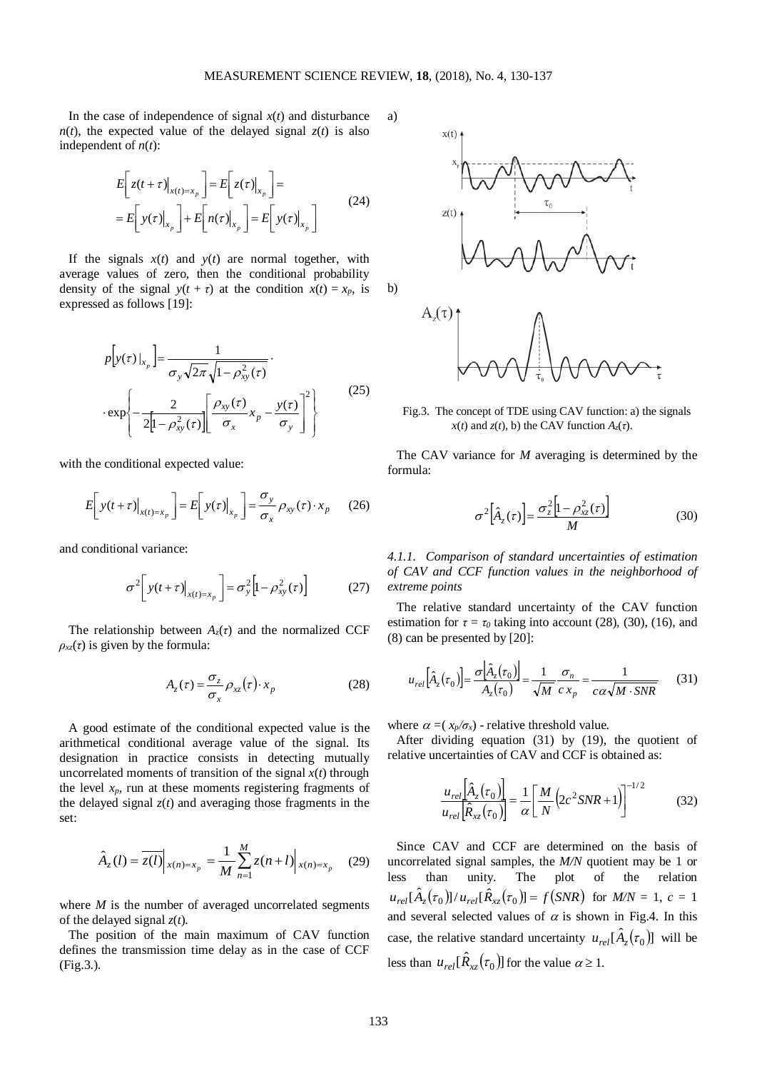a)

b)

In the case of independence of signal  $x(t)$  and disturbance  $n(t)$ , the expected value of the delayed signal  $z(t)$  is also independent of  $n(t)$ :

$$
E\left[z(t+\tau)\big|_{x(t)=x_p}\right] = E\left[z(\tau)\big|_{x_p}\right] =
$$
  
=  $E\left[y(\tau)\big|_{x_p}\right] + E\left[n(\tau)\big|_{x_p}\right] = E\left[y(\tau)\big|_{x_p}\right]$  (24)

If the signals  $x(t)$  and  $y(t)$  are normal together, with average values of zero, then the conditional probability density of the signal  $y(t + \tau)$  at the condition  $x(t) = x_p$ , is expressed as follows [19]:

$$
p[y(\tau)|_{x_p}] = \frac{1}{\sigma_y \sqrt{2\pi} \sqrt{1 - \rho_{xy}^2(\tau)}} \cdot \exp\left\{-\frac{2}{2\left[1 - \rho_{xy}^2(\tau)\right]} \left[\frac{\rho_{xy}(\tau)}{\sigma_x} x_p - \frac{y(\tau)}{\sigma_y}\right]^2\right\}
$$
(25)

with the conditional expected value:

$$
E\left[y(t+\tau)\big|_{x(t)=x_p}\right] = E\left[y(\tau)\big|_{x_p}\right] = \frac{\sigma_y}{\sigma_x} \rho_{xy}(\tau) \cdot x_p \qquad (26)
$$

and conditional variance:

$$
\sigma^2 \left[ y(t+\tau) \Big|_{x(t)=x_p} \right] = \sigma_y^2 \left[ 1 - \rho_{xy}^2(\tau) \right] \tag{27}
$$

The relationship between  $A_z(\tau)$  and the normalized CCF  $\rho_{xz}(\tau)$  is given by the formula:

$$
A_z(\tau) = \frac{\sigma_z}{\sigma_x} \rho_{xz}(\tau) \cdot x_p \tag{28}
$$

A good estimate of the conditional expected value is the arithmetical conditional average value of the signal. Its designation in practice consists in detecting mutually uncorrelated moments of transition of the signal  $x(t)$  through the level  $x_p$ , run at these moments registering fragments of the delayed signal  $z(t)$  and averaging those fragments in the set:

$$
\hat{A}_z(l) = \overline{z(l)}\Big|_{x(n)=x_p} = \frac{1}{M} \sum_{n=1}^{M} z(n+l) \Big|_{x(n)=x_p} \tag{29}
$$

where  $M$  is the number of averaged uncorrelated segments of the delayed signal *z*(*t*)*.*

The position of the main maximum of CAV function defines the transmission time delay as in the case of CCF (Fig.3.).



Fig.3. The concept of TDE using CAV function: a) the signals *x*(*t*) and *z*(*t*), b) the CAV function  $A_z(\tau)$ .

The CAV variance for *M* averaging is determined by the formula:

$$
\sigma^2 \left[ \hat{A}_z(\tau) \right] = \frac{\sigma_z^2 \left[ 1 - \rho_{xz}^2(\tau) \right]}{M} \tag{30}
$$

*4.1.1. Comparison of standard uncertainties of estimation of CAV and CCF function values in the neighborhood of extreme points*

The relative standard uncertainty of the CAV function estimation for  $\tau = \tau_0$  taking into account (28), (30), (16), and (8) can be presented by [20]:

$$
u_{rel}\left[\hat{A}_z(\tau_0)\right] = \frac{\sigma\left[\hat{A}_z(\tau_0)\right]}{A_z(\tau_0)} = \frac{1}{\sqrt{M}}\frac{\sigma_n}{c x_p} = \frac{1}{c\alpha\sqrt{M \cdot SNR}}\tag{31}
$$

where  $\alpha = (x_p/\sigma_x)$  - relative threshold value.

After dividing equation (31) by (19), the quotient of relative uncertainties of CAV and CCF is obtained as:

$$
\frac{u_{rel}\left[\hat{A}_z(\tau_0)\right]}{u_{rel}\left[\hat{R}_{xz}(\tau_0)\right]} = \frac{1}{\alpha} \left[\frac{M}{N}\left(2c^2SNR+1\right)\right]^{-1/2} \tag{32}
$$

Since CAV and CCF are determined on the basis of uncorrelated signal samples, the *M/N* quotient may be 1 or less than unity. The plot of the relation  $u_{rel}[\hat{A}_z(\tau_0)]/u_{rel}[\hat{R}_{zz}(\tau_0)] = f(SNR)$  for  $M/N = 1$ ,  $c = 1$ and several selected values of  $\alpha$  is shown in Fig.4. In this case, the relative standard uncertainty  $u_{rel}[\hat{A}_z(\tau_0)]$  will be less than  $u_{rel}[\hat{R}_{xz}(\tau_0)]$  for the value  $\alpha \geq 1$ .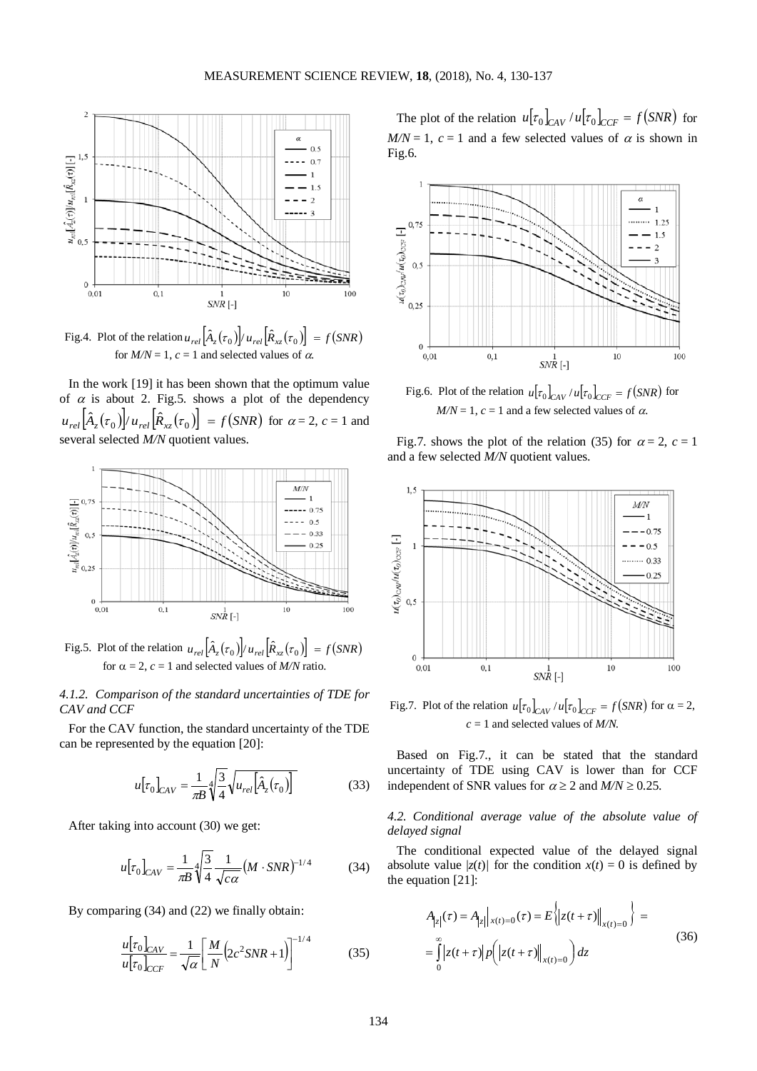

Fig.4. Plot of the relation  $u_{rel} \left[ \hat{A}_z(\tau_0) \right] / u_{rel} \left[ \hat{R}_{xz}(\tau_0) \right] = f(SNR)$ for  $M/N = 1$ ,  $c = 1$  and selected values of  $\alpha$ .

In the work [19] it has been shown that the optimum value of  $\alpha$  is about 2. Fig.5. shows a plot of the dependency  $u_{rel}[\hat{A}_z(\tau_0)]/u_{rel}[\hat{R}_{xz}(\tau_0)] = f(SNR)$  for  $\alpha = 2, c = 1$  and several selected *M/N* quotient values.



Fig.5. Plot of the relation  $u_{rel}[\hat{A}_z(\tau_0)]/u_{rel}[\hat{R}_{xz}(\tau_0)] = f(SNR)$ for  $\alpha = 2$ ,  $c = 1$  and selected values of *M/N* ratio.

*4.1.2. Comparison of the standard uncertainties of TDE for CAV and CCF*

For the CAV function, the standard uncertainty of the TDE can be represented by the equation [20]:

$$
u[\tau_0]_{CAV} = \frac{1}{\pi B} \sqrt[4]{\frac{3}{4}} \sqrt{u_{rel}[\hat{A}_z(\tau_0)]}
$$
(33)

After taking into account (30) we get:

$$
u[\tau_0]_{CAV} = \frac{1}{\pi B} \sqrt[4]{\frac{3}{4}} \frac{1}{\sqrt{c\alpha}} (M \cdot SNR)^{-1/4}
$$
(34)

By comparing (34) and (22) we finally obtain:

$$
\frac{u[\tau_0]_{CAV}}{u[\tau_0]_{CCF}} = \frac{1}{\sqrt{\alpha}} \left[ \frac{M}{N} \left( 2c^2 SNR + 1 \right) \right]^{-1/4}
$$
(35)

The plot of the relation  $u[\tau_0]_{CAV} / u[\tau_0]_{CCF} = f(SNR)$  for  $M/N = 1$ ,  $c = 1$  and a few selected values of  $\alpha$  is shown in Fig.6.



Fig.6. Plot of the relation  $u[\tau_0]_{CAV} / u[\tau_0]_{CCF} = f(SNR)$  for  $M/N = 1$ ,  $c = 1$  and a few selected values of  $\alpha$ .

Fig.7. shows the plot of the relation (35) for  $\alpha = 2$ ,  $c = 1$ and a few selected *M/N* quotient values.



Fig.7. Plot of the relation  $u[\tau_0]_{CAV}/u[\tau_0]_{CCF} = f(SNR)$  for  $\alpha = 2$ , *c* = 1 and selected values of *M/N.*

Based on Fig.7., it can be stated that the standard uncertainty of TDE using CAV is lower than for CCF independent of SNR values for  $\alpha \ge 2$  and  $M/N \ge 0.25$ .

# *4.2. Conditional average value of the absolute value of delayed signal*

The conditional expected value of the delayed signal absolute value  $|z(t)|$  for the condition  $x(t) = 0$  is defined by the equation [21]:

$$
A_{|z|}(\tau) = A_{|z|} |_{x(t)=0}(\tau) = E \left\{ |z(t+\tau)| \Big|_{x(t)=0} \right\} =
$$
  
= 
$$
\int_{0}^{\infty} |z(t+\tau)| p\left( |z(t+\tau)| \Big|_{x(t)=0} \right) dz
$$
 (36)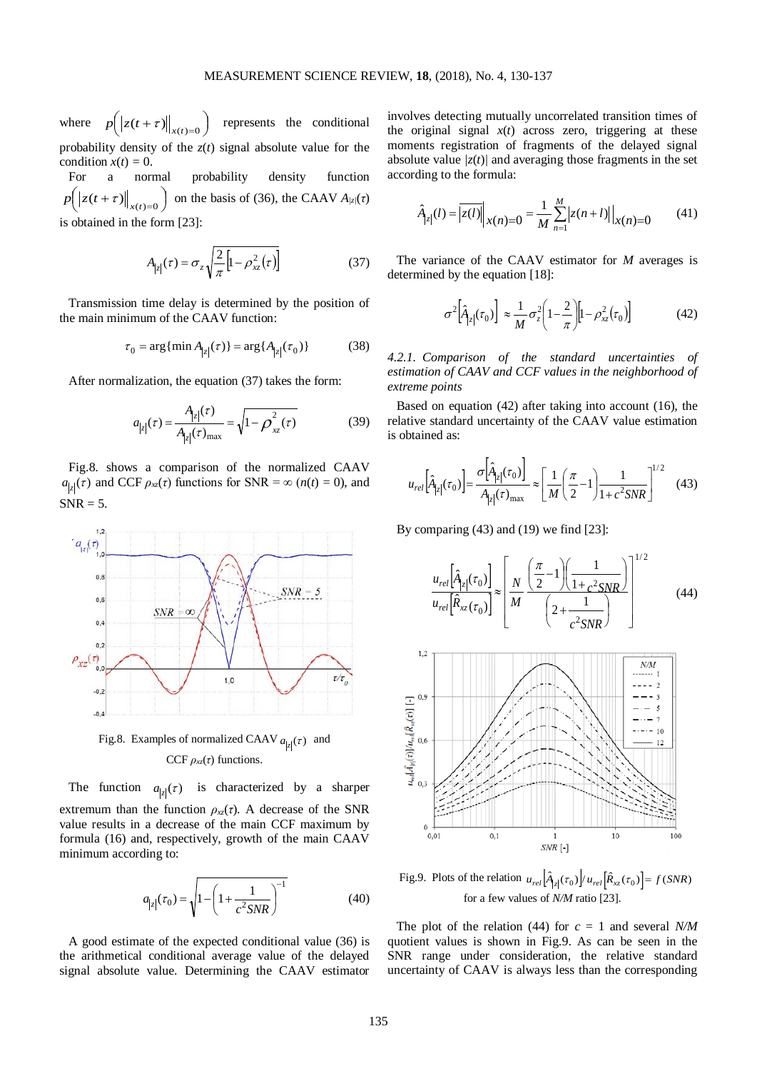where  $p\left(\left|z(t+\tau)\right|\right|_{x(t)=0}\right)$  $x^2 + y^2 = 0$  *terms the conditional* probability density of the  $z(t)$  signal absolute value for the condition  $x(t) = 0$ .

For a normal probability density function  $\left( \left\| z(t+\tau)\right\|_{x(t)=0}\right)$ on the basis of (36), the CAAV  $A_{/z}(\tau)$ is obtained in the form [23]:

$$
A_{|z|}(\tau) = \sigma_z \sqrt{\frac{2}{\pi} \left[ 1 - \rho_{xz}^2(\tau) \right]}
$$
(37)

Transmission time delay is determined by the position of the main minimum of the CAAV function:

$$
\tau_0 = \arg\{\min A_{|z|}(\tau)\} = \arg\{A_{|z|}(\tau_0)\}\tag{38}
$$

After normalization, the equation (37) takes the form:

$$
a_{|z|}(\tau) = \frac{A_{|z|}(\tau)}{A_{|z|}(\tau)_{\text{max}}} = \sqrt{1 - \rho_{xz}^2(\tau)}
$$
(39)

Fig.8. shows a comparison of the normalized CAAV  $a_{|z|}(\tau)$  and CCF  $\rho_{xz}(\tau)$  functions for SNR =  $\infty$  ( $n(t) = 0$ ), and  $SNR = 5$ .



Fig.8. Examples of normalized CAAV  $a_{|z|}(\tau)$  and CCF  $\rho_{xz}(\tau)$  functions.

The function  $a_{|z|}(\tau)$  is characterized by a sharper extremum than the function  $\rho_{xz}(\tau)$ . A decrease of the SNR value results in a decrease of the main CCF maximum by formula (16) and, respectively, growth of the main CAAV minimum according to:

$$
a_{|z|}(\tau_0) = \sqrt{1 - \left(1 + \frac{1}{c^2 SNR}\right)^{-1}}
$$
(40)

A good estimate of the expected conditional value (36) is the arithmetical conditional average value of the delayed signal absolute value. Determining the CAAV estimator

involves detecting mutually uncorrelated transition times of the original signal  $x(t)$  across zero, triggering at these moments registration of fragments of the delayed signal absolute value  $|z(t)|$  and averaging those fragments in the set according to the formula:

$$
\hat{A}_{|z|}(l) = |\overline{z(l)}|_{x(n)=0} = \frac{1}{M} \sum_{n=1}^{M} |z(n+l)| \Big|_{x(n)=0} \tag{41}
$$

The variance of the CAAV estimator for *M* averages is determined by the equation [18]:

$$
\sigma^2 \left[ \hat{A}_{|z|}(\tau_0) \right] \approx \frac{1}{M} \sigma_z^2 \left( 1 - \frac{2}{\pi} \right) \left[ 1 - \rho_{xz}^2(\tau_0) \right] \tag{42}
$$

*4.2.1. Comparison of the standard uncertainties of estimation of CAAV and CCF values in the neighborhood of extreme points*

Based on equation (42) after taking into account (16), the relative standard uncertainty of the CAAV value estimation is obtained as:

$$
u_{rel}\left[\hat{A}_{|z|}(\tau_0)\right] = \frac{\sigma\left[\hat{A}_{|z|}(\tau_0)\right]}{A_{|z|}(\tau)_{\text{max}}} \approx \left[\frac{1}{M}\left(\frac{\pi}{2} - 1\right)\frac{1}{1 + c^2 SNR}\right]^{1/2} \quad (43)
$$

By comparing  $(43)$  and  $(19)$  we find  $[23]$ :

$$
\frac{u_{rel} \left[\hat{A}_{|z|}(\tau_0)\right]}{u_{rel} \left[\hat{R}_{xz}(\tau_0)\right]} \approx \left[\frac{N}{M} \frac{\left(\frac{\pi}{2} - 1\right) \left(\frac{1}{1 + c^2 SNR}\right)}{\left(2 + \frac{1}{c^2 SNR}\right)}\right]^{1/2} \tag{44}
$$



Fig.9. Plots of the relation  $u_{rel} \left[ \hat{A}_{|z|}(\tau_0) \right] / u_{rel} \left[ \hat{R}_{xz}(\tau_0) \right] = f(SNR)$ for a few values of *N/M* ratio [23].

The plot of the relation (44) for *c* = 1 and several *N/M* quotient values is shown in Fig.9. As can be seen in the SNR range under consideration, the relative standard uncertainty of CAAV is always less than the corresponding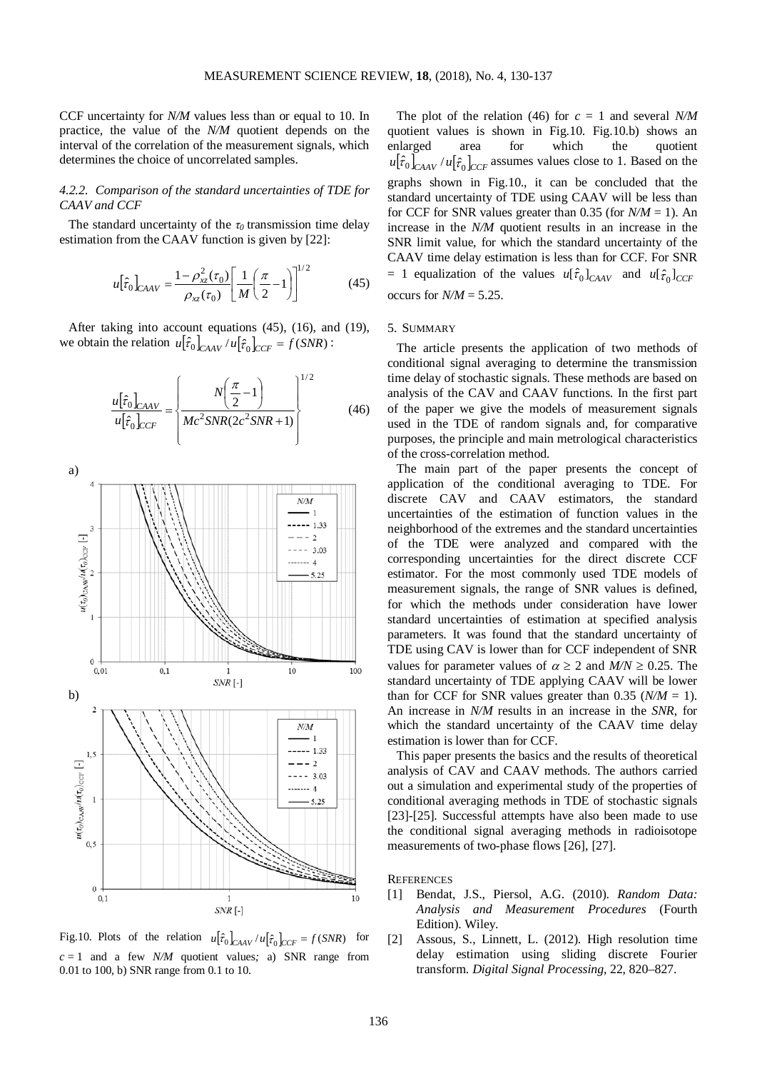CCF uncertainty for *N/M* values less than or equal to 10. In practice, the value of the *N/M* quotient depends on the interval of the correlation of the measurement signals, which determines the choice of uncorrelated samples.

# *4.2.2. Comparison of the standard uncertainties of TDE for CAAV and CCF*

The standard uncertainty of the  $\tau_0$  transmission time delay estimation from the CAAV function is given by [22]:

$$
u[\hat{\tau}_0]_{CAAV} = \frac{1 - \rho_{xz}^2(\tau_0)}{\rho_{xz}(\tau_0)} \left[ \frac{1}{M} \left( \frac{\pi}{2} - 1 \right) \right]^{1/2} \tag{45}
$$

After taking into account equations (45), (16), and (19), we obtain the relation  $u[\hat{\tau}_0]_{CAAV}/u[\hat{\tau}_0]_{CCF} = f(SNR)$ :

$$
\frac{u[\hat{\tau}_0]_{CAAV}}{u[\hat{\tau}_0]_{CCF}} = \left\{ \frac{N\left(\frac{\pi}{2} - 1\right)}{Mc^2 SNR (2c^2 SNR + 1)} \right\}^{1/2}
$$
(46)



Fig.10. Plots of the relation  $u[\hat{\tau}_0]_{C A A V} / u[\hat{\tau}_0]_{C C F} = f(S N R)$  for  $c = 1$  and a few *N/M* quotient values; a) SNR range from 0.01 to 100, b) SNR range from 0.1 to 10.

The plot of the relation (46) for  $c = 1$  and several *N/M* quotient values is shown in Fig.10. Fig.10.b) shows an enlarged area for which the quotient  $u[\hat{\tau}_0]_{C A A V} / u[\hat{\tau}_0]_{C C F}$  assumes values close to 1. Based on the graphs shown in Fig.10., it can be concluded that the standard uncertainty of TDE using CAAV will be less than for CCF for SNR values greater than 0.35 (for  $N/M = 1$ ). An increase in the *N/M* quotient results in an increase in the SNR limit value, for which the standard uncertainty of the CAAV time delay estimation is less than for CCF. For SNR  $= 1$  equalization of the values  $u[\hat{\tau}_0]_{C A A V}$  and  $u[\hat{\tau}_0]_{C C F}$ occurs for  $N/M = 5.25$ .

### 5. SUMMARY

The article presents the application of two methods of conditional signal averaging to determine the transmission time delay of stochastic signals. These methods are based on analysis of the CAV and CAAV functions. In the first part of the paper we give the models of measurement signals used in the TDE of random signals and, for comparative purposes, the principle and main metrological characteristics of the cross-correlation method.

The main part of the paper presents the concept of application of the conditional averaging to TDE. For discrete CAV and CAAV estimators, the standard uncertainties of the estimation of function values in the neighborhood of the extremes and the standard uncertainties of the TDE were analyzed and compared with the corresponding uncertainties for the direct discrete CCF estimator. For the most commonly used TDE models of measurement signals, the range of SNR values is defined, for which the methods under consideration have lower standard uncertainties of estimation at specified analysis parameters. It was found that the standard uncertainty of TDE using CAV is lower than for CCF independent of SNR values for parameter values of  $\alpha \ge 2$  and  $M/N \ge 0.25$ . The standard uncertainty of TDE applying CAAV will be lower than for CCF for SNR values greater than  $0.35$  ( $N/M = 1$ ). An increase in *N/M* results in an increase in the *SNR*, for which the standard uncertainty of the CAAV time delay estimation is lower than for CCF.

This paper presents the basics and the results of theoretical analysis of CAV and CAAV methods. The authors carried out a simulation and experimental study of the properties of conditional averaging methods in TDE of stochastic signals [23]-[25]. Successful attempts have also been made to use the conditional signal averaging methods in radioisotope measurements of two-phase flows [26], [27].

**REFERENCES** 

- [1] Bendat, J.S., Piersol, A.G. (2010). *Random Data: Analysis and Measurement Procedures* (Fourth Edition). Wiley.
- [2] Assous, S., Linnett, L. (2012). High resolution time delay estimation using sliding discrete Fourier transform. *Digital Signal Processing*, 22, 820–827.